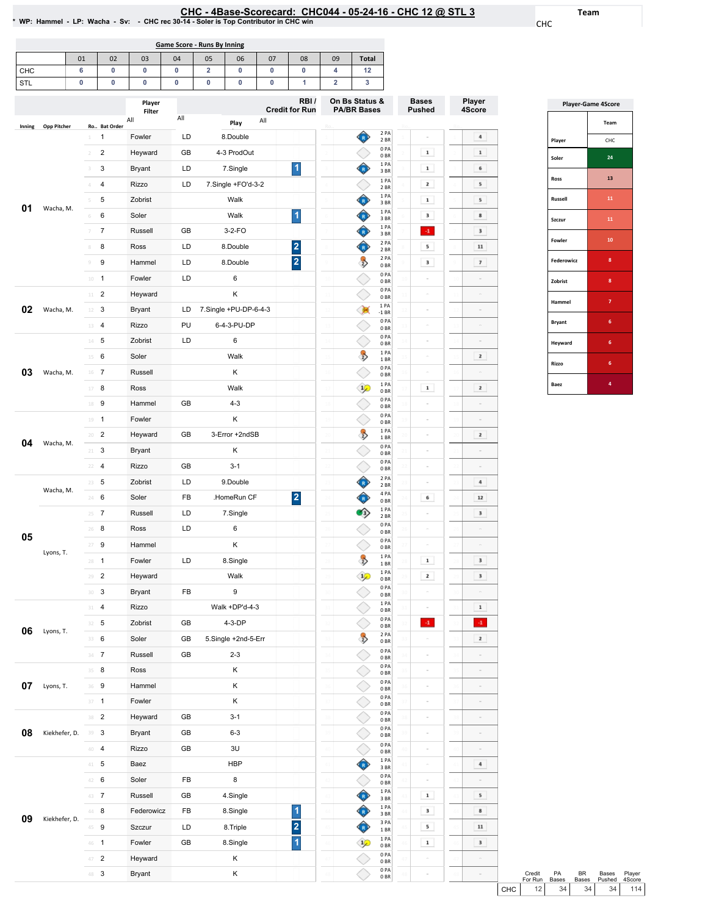## 12 @ STL 3

Team

CHC

Ro..

Player 4Score

 $\overline{4}$ 

 $\boxed{\phantom{1}1}$ 

 $$\mathsf{6}$$ 

 $\begin{array}{|c|} \hline \end{array}$  5  $\begin{array}{|c|} \hline \end{array}$ 

 $\begin{array}{|c|} \hline \textbf{5} \\\hline \end{array}$ 

 $\begin{array}{|c|c|} \hline \mathbf{8} \end{array}$ 

 $\begin{tabular}{|c|c|} \hline \rule{0.2cm}{.04cm} \rule{0.2cm}{.04cm} \rule{0.2cm}{.04cm} \rule{0.2cm}{.04cm} \rule{0.2cm}{.04cm} \rule{0.2cm}{.04cm} \rule{0.2cm}{.04cm} \rule{0.2cm}{.04cm} \rule{0.2cm}{.04cm} \rule{0.2cm}{.04cm} \rule{0.2cm}{.04cm} \rule{0.2cm}{.04cm} \rule{0.2cm}{.04cm} \rule{0.2cm}{.04cm} \rule{0.2cm}{.04cm} \rule{0.2cm}{.0$ 

 $\bf 11$ 

 $\mathcal T$ 

|        |                    |                        |                | WP: Hammel - LP: Wacha - Sv: - CHC rec 30-14 - Soler is Top Contributor in CHC win |                             |                        |                       |                         |                               |                         |                                         |                               |
|--------|--------------------|------------------------|----------------|------------------------------------------------------------------------------------|-----------------------------|------------------------|-----------------------|-------------------------|-------------------------------|-------------------------|-----------------------------------------|-------------------------------|
|        |                    |                        |                |                                                                                    | Game Score - Runs By Inning |                        |                       |                         |                               |                         |                                         |                               |
|        |                    | 01                     | 02             | 03                                                                                 | 04                          | 05                     | 06                    | 07                      | 08                            | 09                      | Total                                   |                               |
| СНС    |                    | 6                      | 0              | 0                                                                                  | 0                           | 2                      | 0                     | 0                       | 0                             | 4                       | 12                                      |                               |
| STL    |                    | 0                      | 0              | 0                                                                                  | 0                           | 0                      | 0                     | 0                       | 1                             | $\overline{\mathbf{2}}$ | 3                                       |                               |
|        |                    |                        | Ro Bat Order   | Player<br>Filter<br>All                                                            | All                         |                        | Play                  | All                     | RBI/<br><b>Credit for Run</b> |                         | On Bs Status &<br><b>PA/BR Bases</b>    | <b>Bases</b><br><b>Pushed</b> |
| Inning | <b>Opp Pitcher</b> |                        | 1              | Fowler                                                                             | LD                          |                        | 8.Double              |                         |                               |                         | 2PA<br>2 BR                             |                               |
|        |                    | $\overline{2}$         | $\overline{2}$ | Heyward                                                                            | GB                          |                        | 4-3 ProdOut           |                         |                               |                         | 0PA                                     | $\mathbf 1$                   |
|        |                    | 3                      | 3              | <b>Bryant</b>                                                                      | LD                          |                        | 7.Single              |                         | 1                             |                         | 0 <sub>BR</sub><br>1PA                  | $\mathbf 1$                   |
|        |                    |                        | $\overline{4}$ | <b>Rizzo</b>                                                                       | LD                          |                        | 7.Single +FO'd-3-2    |                         |                               |                         | 3BR<br>1PA                              | 2                             |
|        |                    | 5                      | 5              | Zobrist                                                                            |                             |                        | Walk                  |                         |                               |                         | 2 BR<br>1PA                             | 1                             |
| 01     | Wacha, M.          | 6                      | 6              | Soler                                                                              |                             |                        | Walk                  |                         | 1                             |                         | 3 BR<br>1PA                             | 3                             |
|        |                    | 7                      | $\overline{7}$ | Russell                                                                            | GB                          |                        | $3-2-FO$              |                         |                               |                         | 3BR<br>1PA                              | $\mathbf{A}$                  |
|        | 8                  | 8                      | Ross           | LD                                                                                 |                             | 8.Double               |                       | $\overline{\mathbf{c}}$ |                               | 3 BR<br>2PA             | 5                                       |                               |
|        |                    | 9                      | 9              | Hammel                                                                             | LD                          |                        | 8.Double              |                         | $\overline{\mathbf{2}}$       |                         | 2 BR<br>2PA                             | 3                             |
|        |                    |                        |                |                                                                                    |                             |                        |                       |                         |                               |                         | $\ddot{\psi}$<br>0 <sub>BR</sub><br>0PA |                               |
|        |                    | 10                     | $\mathbf{1}$   | Fowler                                                                             | LD                          |                        | 6                     |                         |                               |                         | 0 <sub>BR</sub><br>0PA                  |                               |
|        |                    | 11                     | $\overline{2}$ | Heyward                                                                            |                             |                        | Κ                     |                         |                               |                         | 0 <sub>BR</sub><br>1PA                  |                               |
| 02     | Wacha, M.          | 12                     | 3              | <b>Bryant</b>                                                                      | LD                          |                        | 7.Single +PU-DP-6-4-3 |                         |                               |                         | $-1$ BR<br>0PA                          |                               |
|        |                    | 13                     | 4              | Rizzo                                                                              | PU                          |                        | 6-4-3-PU-DP           |                         |                               |                         | 0 <sub>BR</sub><br>0 P <sub>A</sub>     |                               |
|        |                    | 14                     | 5              | Zobrist                                                                            | LD                          |                        | 6                     |                         |                               | 14                      | 0 <sub>BR</sub><br>1PA                  |                               |
|        |                    | 15                     | 6              | Soler                                                                              |                             |                        | Walk                  |                         |                               |                         | $\ddot{\mathrm{z}}$<br>1BR<br>0PA       |                               |
| 03     | Wacha, M.          | 16                     | $\overline{7}$ | Russell                                                                            |                             |                        | K                     |                         |                               |                         | 0 <sub>BR</sub>                         |                               |
|        |                    | 17                     | 8              | Ross                                                                               |                             |                        | Walk                  |                         |                               |                         | 1PA<br>$\frac{1}{2}$<br>0 <sub>BR</sub> | 1                             |
|        |                    | 18                     | 9              | Hammel                                                                             | GB                          |                        | $4 - 3$               |                         |                               |                         | 0PA<br>0 <sub>BR</sub>                  |                               |
|        |                    | 19                     | $\mathbf{1}$   | Fowler                                                                             |                             |                        | K                     |                         |                               | 19                      | 0PA<br>0 BR                             |                               |
| 04     | Wacha, M.          | 20                     | $\overline{2}$ | Heyward                                                                            | GB                          |                        | 3-Error +2ndSB        |                         |                               | 20                      | 1PA<br>್ರಾ<br>1BR                       |                               |
|        |                    | 3<br>Κ<br>Bryant<br>21 |                |                                                                                    |                             | 0PA<br>0 <sub>BR</sub> |                       |                         |                               |                         |                                         |                               |
|        |                    | 22                     | $\overline{4}$ | Rizzo                                                                              | <b>GB</b>                   |                        | $3 - 1$               |                         |                               |                         | 0PA<br>0.05                             |                               |

| <b>Player-Game 4Score</b> |                |  |  |  |  |  |  |  |  |
|---------------------------|----------------|--|--|--|--|--|--|--|--|
|                           | Team           |  |  |  |  |  |  |  |  |
| Player                    | CHC            |  |  |  |  |  |  |  |  |
| Soler                     | 24             |  |  |  |  |  |  |  |  |
| Ross                      | 13             |  |  |  |  |  |  |  |  |
| Russell                   | 11             |  |  |  |  |  |  |  |  |
| Szczur                    | 11             |  |  |  |  |  |  |  |  |
| Fowler                    | 10             |  |  |  |  |  |  |  |  |
| Federowicz                | 8              |  |  |  |  |  |  |  |  |
| Zobrist                   | 8              |  |  |  |  |  |  |  |  |
| Hammel                    | $\overline{7}$ |  |  |  |  |  |  |  |  |
| <b>Bryant</b>             | 6              |  |  |  |  |  |  |  |  |
| Heyward                   | 6              |  |  |  |  |  |  |  |  |
| Rizzo                     | 6              |  |  |  |  |  |  |  |  |
| Baez                      | 4              |  |  |  |  |  |  |  |  |

| 03 | Wacha, M.           | 16 | 7              | Russell       |           | κ                   |                         |                 |                                        | 0PA<br>0 <sub>BR</sub>  |              |                         |               |
|----|---------------------|----|----------------|---------------|-----------|---------------------|-------------------------|-----------------|----------------------------------------|-------------------------|--------------|-------------------------|---------------|
|    |                     | 17 | 8              | Ross          |           | Walk                |                         |                 | $\frac{1}{2}$                          | 1PA<br>0 <sub>BR</sub>  | $\mathbf 1$  | $\mathbf{z}$            |               |
|    |                     | 18 | 9              | Hammel        | GB        | $4 - 3$             |                         | 18              |                                        | 0PA<br>0 <sub>BR</sub>  |              |                         |               |
|    |                     | 19 | $\mathbf{1}$   | Fowler        |           | Κ                   |                         | $\overline{19}$ |                                        | 0PA<br>0BR              |              |                         |               |
|    |                     | 20 | $\overline{2}$ | Heyward       | <b>GB</b> | 3-Error +2ndSB      |                         | 20              | $\rightarrow$                          | 1PA<br>1BR              |              | $\mathbf{z}$            |               |
| 04 | Wacha, M.           | 21 | 3              | Bryant        |           | Κ                   |                         | $\overline{21}$ |                                        | 0PA<br>0 <sub>BR</sub>  |              |                         |               |
|    |                     | 22 | $\overline{4}$ | Rizzo         | GB        | $3 - 1$             |                         |                 |                                        | 0PA<br>0 <sub>BR</sub>  |              |                         |               |
|    | Wacha, M.           | 23 | 5              | Zobrist       | LD        | 9.Double            |                         | 23              | ♦                                      | 2 PA<br>2 BR            |              | 4                       |               |
|    |                     | 24 | 6              | Soler         | FB        | .HomeRun CF         | $\overline{\mathbf{2}}$ | 24              | ♦                                      | 4 PA<br>0BR             | 6            | $\bf{12}$               |               |
|    |                     | 25 | $\overline{7}$ | Russell       | LD        | 7.Single            |                         | 25              | O)                                     | 1PA<br>2 BR             |              | $\mathbf 3$             |               |
|    |                     | 26 | 8              | Ross          | LD        | 6                   |                         | $\overline{26}$ |                                        | 0PA<br>0 <sub>BR</sub>  | $\sim$       |                         |               |
| 05 |                     | 27 | 9              | Hammel        |           | K                   |                         | 27              |                                        | 0PA<br>0 <sub>BR</sub>  |              |                         |               |
|    | Lyons, T.           | 28 | $\mathbf{1}$   | Fowler        | LD        | 8.Single            |                         |                 | $\rightarrow$                          | 1PA<br>1 BR             | $\mathbf 1$  | $\overline{\mathbf{3}}$ |               |
|    |                     | 29 | $\overline{c}$ | Heyward       |           | Walk                |                         | 29              | $\mathcal{P}$                          | 1PA<br>0BR              | $\mathbf{z}$ | $\mathbf 3$             |               |
|    |                     | 30 | 3              | <b>Bryant</b> | FB        | 9                   |                         | 30              |                                        | 0PA<br>0BR              |              |                         |               |
|    |                     | 31 | 4              | <b>Rizzo</b>  |           | Walk +DP'd-4-3      |                         | 31              |                                        | 1PA<br>0 <sub>BR</sub>  |              | $\mathbf 1$             |               |
|    | 06<br>Lyons, T.     | 32 | 5              | Zobrist       | <b>GB</b> | 4-3-DP              |                         | 32              |                                        | 0PA<br>0 <sub>BR</sub>  | $\mathbf{A}$ | $41$                    |               |
|    |                     | 33 | 6              | Soler         | GB        | 5.Single +2nd-5-Err |                         |                 | $\rightarrow$                          | 2 PA<br>0BR             |              | $\mathbf{z}$            |               |
|    |                     | 34 | $\overline{7}$ | Russell       | GB        | $2 - 3$             |                         | 34              |                                        | 0PA<br>0 <sub>BR</sub>  |              |                         |               |
|    |                     | 35 | 8              | Ross          |           | κ                   |                         | 35              |                                        | 0PA<br>0 <sub>BR</sub>  |              |                         |               |
| 07 | Lyons, T.           | 36 | 9              | Hammel        |           | Κ                   |                         | 36              |                                        | 0PA<br>0BR              |              |                         |               |
|    |                     | 37 | $\mathbf{1}$   | Fowler        |           | Κ                   |                         |                 |                                        | 0PA<br>0 <sub>BR</sub>  | $\alpha$     | $\alpha$                |               |
|    |                     | 38 | $\overline{2}$ | Heyward       | GB        | $3 - 1$             |                         | 38              |                                        | 0PA<br>0 <sub>BR</sub>  |              | $\alpha$                |               |
| 08 | Kiekhefer, D.       | 39 | 3              | Bryant        | GB        | $6 - 3$             |                         | 39              |                                        | 0PA<br>0 <sub>BR</sub>  |              |                         |               |
|    |                     | 40 | $\overline{4}$ | Rizzo         | GB        | 3U                  |                         | 40              |                                        | 0PA<br>0 <sub>BR</sub>  |              |                         |               |
|    |                     | 41 | 5              | Baez          |           | <b>HBP</b>          |                         | 41              | ♦                                      | 1PA<br>3 BR             |              | 4                       |               |
|    |                     | 42 | 6              | Soler         | <b>FB</b> | 8                   |                         | 42              |                                        | 0PA<br>0 <sub>BR</sub>  |              |                         |               |
|    |                     | 43 | $\overline{7}$ | Russell       | GB        | 4.Single            |                         | 43              | Ô                                      | 1PA<br>3 BR             | $\mathbf 1$  | 5                       |               |
|    |                     | 44 | 8              | Federowicz    | FB        | 8.Single            | 1                       | 44              | $\bf \hat{0}$                          | 1PA<br>3BR              | 3            | $\mathbf{s}$            |               |
|    | 09<br>Kiekhefer, D. | 45 | 9              | Szczur        | LD        | 8. Triple           | $\overline{\mathbf{c}}$ | 45              | $\begin{pmatrix} 1 \\ 1 \end{pmatrix}$ | 3PA<br>1BR              | 5            | $11\,$                  |               |
|    |                     | 46 | $\mathbf{1}$   | Fowler        | GB        | 8.Single            | $\overline{\mathbf{1}}$ | 46              | $\mathcal{P}$                          | 1 PA<br>0 <sub>BR</sub> | $\mathbf 1$  | $\overline{\mathbf{3}}$ |               |
|    |                     | 47 | $\overline{2}$ | Heyward       |           | Κ                   |                         | 47              |                                        | 0PA<br>0 <sub>BR</sub>  |              | $\sim$                  |               |
|    |                     | 48 | 3              | <b>Bryant</b> |           | Κ                   |                         | 48              |                                        | 0PA<br>0 <sub>BR</sub>  | $\alpha$     | $\alpha$                |               |
|    |                     |    |                |               |           |                     |                         |                 |                                        |                         |              |                         | $\mathcal{C}$ |

|       | Credit  | PА           | <b>BR</b> | <b>Bases</b> | Player |
|-------|---------|--------------|-----------|--------------|--------|
|       | For Run | <b>Bases</b> | Bases     | Pushed       | 4Score |
| снс I | 12      | 34           | 34        | 34           | 114    |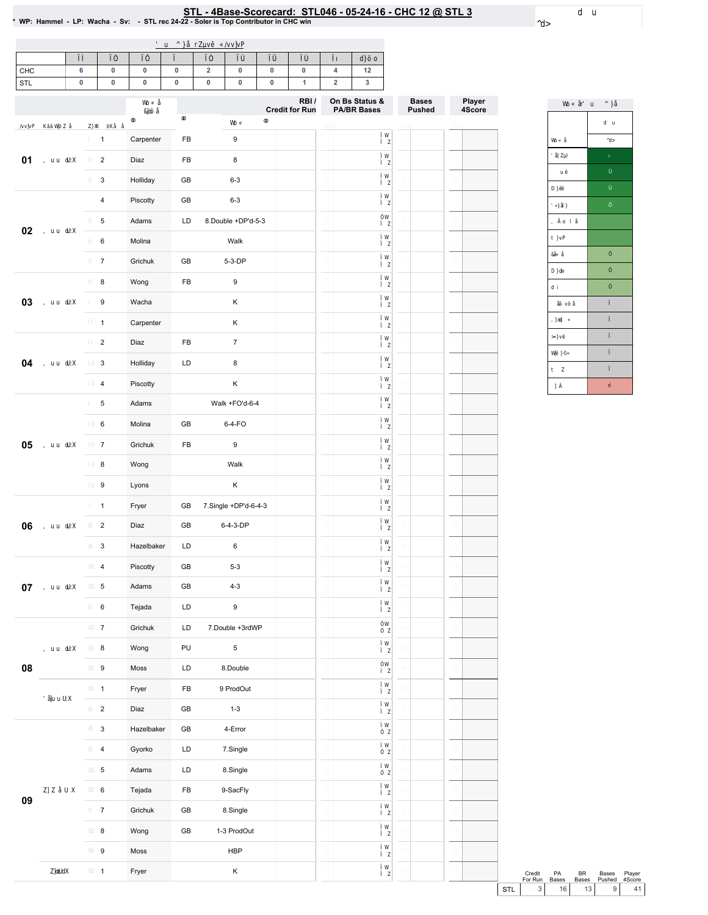|                              |              |    |                      | 'u ^ } OEr Zuv• C/vv]vP |    |                             |                      |                         |    |                                               |                  |                 |
|------------------------------|--------------|----|----------------------|-------------------------|----|-----------------------------|----------------------|-------------------------|----|-----------------------------------------------|------------------|-----------------|
|                              | ìí           | ìî | ìΪ                   | ìð                      | ìñ | ìò                          | ìó                   | ìô                      | ìõ | d}šo                                          |                  |                 |
| $8 + 8$<br>67/               |              |    |                      |                         |    |                             |                      |                         |    |                                               |                  |                 |
|                              |              |    | Wb C OE<br>8]cš Œ    | $^\circledR$            |    |                             |                      | $5\%$<br>& UHGLWIRU5 XQ |    | 2 Q%V 6 WDWXV<br>3\$ %5 %DVHV                 | %DVHV<br>3 XVKHG | 300 HU<br>6FRUH |
| /vv]vP K%%LV%SZOE Z}XX šKOEO |              |    | $\pmb{\circledcirc}$ |                         |    | WoÇ                         | $\pmb{\circledcirc}$ |                         |    | ìW                                            |                  |                 |
|                              | $\mathbf{f}$ |    | & DUSHOWNU           | ) %                     |    |                             |                      |                         |    | i Z<br>ìW                                     |                  |                 |
| , uu oLJX î                  |              |    | $\mathbb{D}$         | ) %                     |    |                             |                      |                         |    | i Z<br>ìW                                     |                  |                 |
|                              | $\top$       |    | $+$ RODD             | * $%$                   |    |                             |                      |                         |    | i Z                                           |                  |                 |
|                              | ð            |    | 3 LVFRWW             | $*$ %                   |    |                             |                      |                         | ð  | ìW<br>i Z                                     |                  | ð               |
| , uu $d$ J $X$ $-$           | ñ            |    | \$GDPV               | $\prime$ .              |    | 'RXE®H'3G                   |                      |                         |    | îW<br>i Z                                     |                  | ñ               |
|                              | ò            |    | 0 RODD               |                         |    | $:$ DON                     |                      |                         |    | í W<br>i Z                                    |                  | $\circ$         |
|                              | ó            |    | * UFKXN              | * $%$                   |    | '3                          |                      |                         |    | ìW<br>i Z                                     |                  |                 |
|                              | ô            |    | : RQJ                | ) %                     |    |                             |                      |                         |    | ìW<br>i Z                                     |                  |                 |
| , uu oLJX õ                  |              |    | $:$ DFKD             |                         |    | ÷.                          |                      |                         |    | ìW<br>i Z                                     |                  | õ               |
|                              | fi.          |    | & DUSHOMMU           |                         |    | $\mathcal{L}^{\mathcal{L}}$ |                      |                         |    | ìW<br>i Z                                     |                  |                 |
|                              | f i          |    | $\Box$               | ) %                     |    |                             |                      |                         |    | i W<br>i Z                                    |                  |                 |
| , uu oLIX                    | $-11$        |    | $+$ RODD             | $\prime$ .              |    |                             |                      |                         |    | i W<br>$i$ Z                                  |                  |                 |
|                              | íï           |    | 3 LVFRWW             |                         |    | $\sim$                      |                      |                         |    | ìW<br>i Z                                     |                  |                 |
|                              | íð           |    | \$GDPV               |                         |    | $:$ DON $)$ 2 G             |                      |                         |    | í W<br>i Z                                    |                  |                 |
|                              | íñ           |    | 0 RODD               | * $%$                   |    | 2                           |                      |                         |    | í W<br>$i$ Z                                  |                  |                 |
| , uu oLJX iò                 |              |    | * UFKXN              | ) %                     |    |                             |                      |                         |    | i W<br>i Z                                    |                  |                 |
|                              | íó           |    | : RQJ                |                         |    | $:$ DON                     |                      |                         |    | í W<br>$i$ Z                                  |                  |                 |
|                              | íô           |    | $/$ \RQV             |                         |    | $\sim 10^{-1}$              |                      |                         |    | ìW<br>i Z                                     |                  |                 |
|                              | íõ           |    | ) UHU                | * $%$                   |    | 6LQJOH '3 G                 |                      |                         |    | i W<br>i Z                                    |                  |                 |
| , uu oLJX                    | $-11$        |    | $\mathbb{D}$         | $*$ %                   |    | '3                          |                      |                         |    | i W<br>i Z                                    |                  |                 |
|                              | îí           |    | + DJ HŒDNHU          | $\sqrt{ }$              |    |                             |                      |                         |    | i W<br>ì Z                                    |                  |                 |
|                              | îî           |    | 3 LVFRWW             | * $%$                   |    |                             |                      |                         |    | $\begin{array}{c} i \ W \\ i \ Z \end{array}$ |                  |                 |
| , uu dJX                     | $\hat{1}$    |    | \$GDPV               | $*$ %                   |    |                             |                      |                         |    | i W                                           |                  |                 |
|                              | îŏ           |    | 7HM2GD               | $\prime^+$              |    |                             |                      |                         |    | $i \, z$<br>i W                               |                  |                 |
|                              | îñ           |    | * UFKXN              | $\prime^+$              |    | ' RXE®I<br>UG 3             |                      |                         |    | ì Z<br>îW                                     |                  |                 |
| , uu dJX                     | îò           |    | : RQJ                | 38                      |    |                             |                      |                         |    | $i$ $z$<br>i W                                |                  |                 |
|                              | îó           |    | 0 RW                 | / '                     |    | ' RXE®                      |                      |                         |    | i Z<br>îW                                     |                  |                 |
|                              |              |    |                      |                         |    |                             |                      |                         |    | $i$ $z$<br>i W                                |                  |                 |
| 'O Eu UX                     | îô           |    | ) UHU                | ) %                     |    | 3 URG2 XW                   |                      |                         |    | ì Z<br>i W                                    |                  |                 |
|                              | ÎÕ           |    | $\mathbb{D}$         | $*$ %                   |    |                             |                      |                         |    | $i$ Z<br>í W                                  |                  |                 |
|                              | Tì.          |    | $+$ DJ HOEDN-IU      | $*$ %                   |    | $($ URU                     |                      |                         |    | $i$ Z<br>í W                                  |                  |                 |
|                              | ΪÍ           |    | $^{\star}$ \ RU\R    | $\prime$ .              |    | $61QJ$ $\Theta$             |                      |                         |    | $i$ Z                                         |                  |                 |
|                              | ΪÎ           |    | \$GDPV               | $\prime^+$              |    | $61QJ$ $\Theta$             |                      |                         |    | í W<br>$i$ Z                                  |                  |                 |
| ZJ Z ŒU X                    | $\;$ 11      |    | 7HM2GD               | ) %                     |    | 6DF) O                      |                      |                         |    | i W<br>$i$ Z                                  |                  |                 |
|                              | ïŏ           |    | $*$ ULFKXN           | * $%$                   |    | $61QJ$ $\Theta$             |                      |                         |    | í W<br>$i$ $z$                                |                  |                 |
|                              | ĩñ           |    | : RQJ                | * $%$                   |    | 3 URG2 XW                   |                      |                         |    | $\begin{array}{c} i \ W \\ i \ Z \end{array}$ |                  |                 |
|                              | Ϊò           |    | 0 RW                 |                         |    | $+ \%3$                     |                      |                         |    | $\frac{1}{1}$ $\frac{W}{Z}$                   |                  |                 |

**ZjoldX** 

) UHU

 $\sim$ 

#### $8+8$  # 67/ : 3 + DPPHO /3 : DFKD 6Y 67/UHF  $\frac{67/}{68000007RS$ &ROMUEXMRULQ&+&ZLQ

d u  $\sim$ 

> WoÇOE u ð^}Œ  $d - u$ Wo Ç Œ  $\sim$  $\overline{q}$  q  $\overline{q}$  $\ddot{\phantom{a}}$  $\mathsf{D}\} \bullet\bullet$  $\overline{Q}$  OB ,  $i \circ t \in$  $t \} vP$ 80Ç Œ  $\hat{\mathbf{r}}$  $\mathfrak{f}$  $D$  }  $\phi$  $\overline{d}$  i  $\hat{\mathbf{I}}$ **CH**ovš CE  $\mathbf{1}$ , } on]  $\hspace{0.1cm}$   $\hspace{0.1cm}$   $\hspace{0.1cm}$   $\hspace{0.1cm}$   $\hspace{0.1cm}$   $\hspace{0.1cm}$   $\hspace{0.1cm}$  $\bar{1}$ >Q v∙  $\bar{1}$  $\mathbf{1}$  $\texttt{V}\pmb{\Vdash} \; \} \mathbb{C}\mathbb{C}$  $t$   $\bar{z}$  $\mathbf{1}$  $1\, \mathrm{l}$  $\vec{\mathsf{n}}$

&UHGLW 3\$<br>RU5XQ %DWHV %5 %DM-M 3001.HU<br>%DM-M 3XM-HG 6FRUH

 $67/$ 

 $\begin{array}{c} i & W \\ i & Z \end{array}$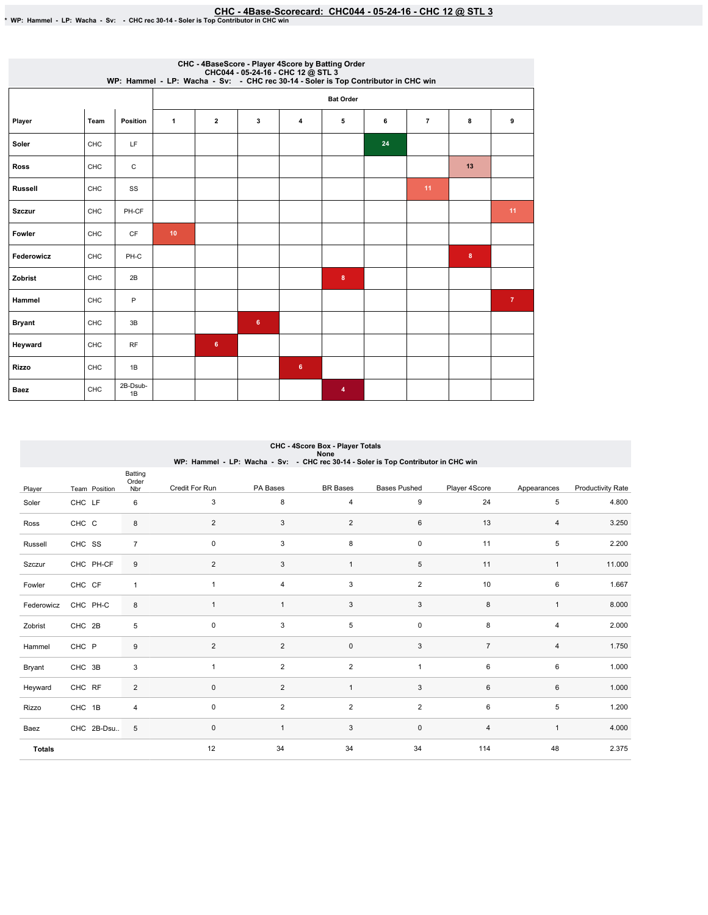# EHC-4Base-Scorecard: CHC044 - 05-24-16 - CHC 12 @ STL 3<br>\* WP: Hammel - LP: Wacha - Sv: - CHC rec 30-14 - Soler is Top Contributor in CHC win

|                |      |                |                 |                         |                |   | CHC - 4BaseScore - Player 4Score by Batting Order<br>CHC044 - 05-24-16 - CHC 12 @ STL 3<br>WP: Hammel - LP: Wacha - Sv: - CHC rec 30-14 - Soler is Top Contributor in CHC win |    |                |          |                |
|----------------|------|----------------|-----------------|-------------------------|----------------|---|-------------------------------------------------------------------------------------------------------------------------------------------------------------------------------|----|----------------|----------|----------------|
|                |      |                |                 |                         |                |   | <b>Bat Order</b>                                                                                                                                                              |    |                |          |                |
| Player         | Team | Position       | $\mathbf{1}$    | $\overline{\mathbf{2}}$ | 3              | 4 | 5                                                                                                                                                                             | 6  | $\overline{7}$ | 8        | 9              |
| Soler          | CHC  | LF             |                 |                         |                |   |                                                                                                                                                                               | 24 |                |          |                |
| <b>Ross</b>    | CHC  | C              |                 |                         |                |   |                                                                                                                                                                               |    |                | 13       |                |
| <b>Russell</b> | CHC  | SS             |                 |                         |                |   |                                                                                                                                                                               |    | 11             |          |                |
| <b>Szczur</b>  | CHC  | PH-CF          |                 |                         |                |   |                                                                                                                                                                               |    |                |          | 11             |
| Fowler         | CHC  | <b>CF</b>      | 10 <sub>1</sub> |                         |                |   |                                                                                                                                                                               |    |                |          |                |
| Federowicz     | CHC  | PH-C           |                 |                         |                |   |                                                                                                                                                                               |    |                | $\bf{8}$ |                |
| Zobrist        | CHC  | 2B             |                 |                         |                |   | 8                                                                                                                                                                             |    |                |          |                |
| Hammel         | CHC  | P              |                 |                         |                |   |                                                                                                                                                                               |    |                |          | 7 <sup>7</sup> |
| <b>Bryant</b>  | CHC  | 3B             |                 |                         | 6 <sup>1</sup> |   |                                                                                                                                                                               |    |                |          |                |
| Heyward        | CHC  | RF             |                 | $\bf 6$                 |                |   |                                                                                                                                                                               |    |                |          |                |
| Rizzo          | CHC  | 1B             |                 |                         |                | 6 |                                                                                                                                                                               |    |                |          |                |
| Baez           | CHC  | 2B-Dsub-<br>1B |                 |                         |                |   | 4                                                                                                                                                                             |    |                |          |                |

|               | CHC - 4Score Box - Player Totals<br>None |                         |                |                |                         |                                                                                    |                |              |                          |  |  |  |
|---------------|------------------------------------------|-------------------------|----------------|----------------|-------------------------|------------------------------------------------------------------------------------|----------------|--------------|--------------------------|--|--|--|
|               |                                          |                         |                |                |                         | WP: Hammel - LP: Wacha - Sv: - CHC rec 30-14 - Soler is Top Contributor in CHC win |                |              |                          |  |  |  |
|               |                                          | Batting<br>Order        |                |                |                         |                                                                                    |                |              |                          |  |  |  |
| Player        | Team Position                            | Nbr                     | Credit For Run | PA Bases       | <b>BR</b> Bases         | <b>Bases Pushed</b>                                                                | Player 4Score  | Appearances  | <b>Productivity Rate</b> |  |  |  |
| Soler         | CHC LF                                   | 6                       | 3              | 8              | $\overline{\mathbf{4}}$ | 9                                                                                  | 24             | 5            | 4.800                    |  |  |  |
| Ross          | CHC C                                    | 8                       | 2              | 3              | 2                       | 6                                                                                  | 13             | 4            | 3.250                    |  |  |  |
| Russell       | CHC SS                                   | $\overline{7}$          | 0              | 3              | 8                       | $\mathsf{O}\xspace$                                                                | 11             | 5            | 2.200                    |  |  |  |
| Szczur        | CHC PH-CF                                | 9                       | $\overline{2}$ | 3              | $\mathbf{1}$            | $\,$ 5 $\,$                                                                        | 11             | $\mathbf{1}$ | 11.000                   |  |  |  |
| Fowler        | CHC CF                                   | $\mathbf{1}$            | $\mathbf{1}$   | 4              | 3                       | $\overline{2}$                                                                     | 10             | 6            | 1.667                    |  |  |  |
| Federowicz    | CHC PH-C                                 | 8                       | $\mathbf{1}$   | $\overline{1}$ | 3                       | 3                                                                                  | 8              | $\mathbf{1}$ | 8.000                    |  |  |  |
| Zobrist       | CHC 2B                                   | 5                       | $\mathbf 0$    | 3              | 5                       | $\mathsf{O}\xspace$                                                                | 8              | 4            | 2.000                    |  |  |  |
| Hammel        | CHC P                                    | 9                       | $\overline{2}$ | $\overline{2}$ | $\mathbf 0$             | 3                                                                                  | $\overline{7}$ | 4            | 1.750                    |  |  |  |
| Bryant        | CHC 3B                                   | 3                       | $\mathbf{1}$   | $\overline{2}$ | $\overline{2}$          | $\mathbf{1}$                                                                       | 6              | 6            | 1.000                    |  |  |  |
| Heyward       | CHC RF                                   | $\overline{2}$          | $\pmb{0}$      | $\overline{2}$ | $\mathbf{1}$            | $\mathbf{3}$                                                                       | 6              | 6            | 1.000                    |  |  |  |
| Rizzo         | CHC 1B                                   | $\overline{\mathbf{4}}$ | $\mathbf 0$    | $\overline{2}$ | $\overline{2}$          | $\overline{2}$                                                                     | 6              | 5            | 1.200                    |  |  |  |
| Baez          | CHC 2B-Dsu                               | 5                       | 0              |                | 3                       | $\mathsf{O}\xspace$                                                                | $\overline{4}$ | $\mathbf{1}$ | 4.000                    |  |  |  |
| <b>Totals</b> |                                          |                         | 12             | 34             | 34                      | 34                                                                                 | 114            | 48           | 2.375                    |  |  |  |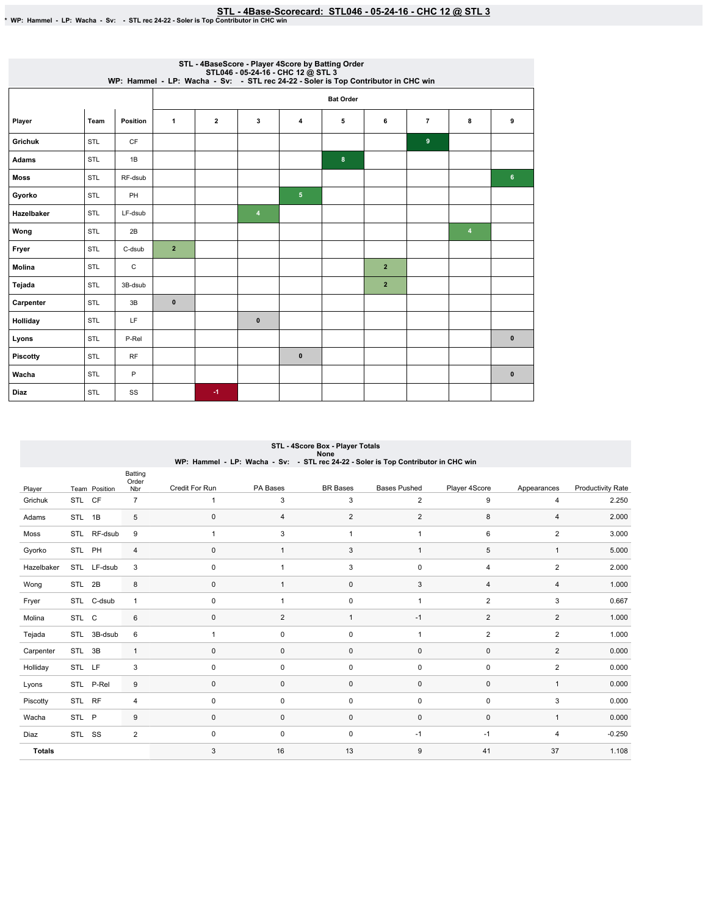|                 |            |                 |                | STL - 4BaseScore - Player 4Score by Batting Order<br>STL046 - 05-24-16 - CHC 12 @ STL3<br>WP: Hammel - LP: Wacha - Sv: - STL rec 24-22 - Soler is Top Contributor in CHC win |                         |                |   |              |                |                |                |  |  |
|-----------------|------------|-----------------|----------------|------------------------------------------------------------------------------------------------------------------------------------------------------------------------------|-------------------------|----------------|---|--------------|----------------|----------------|----------------|--|--|
|                 |            |                 |                | <b>Bat Order</b>                                                                                                                                                             |                         |                |   |              |                |                |                |  |  |
| Player          | Team       | <b>Position</b> | $\mathbf{1}$   | $\mathbf{2}$                                                                                                                                                                 | 3                       | 4              | 5 | 6            | $\overline{7}$ | 8              | 9              |  |  |
| <b>Grichuk</b>  | STL        | CF              |                |                                                                                                                                                                              |                         |                |   |              | 9              |                |                |  |  |
| <b>Adams</b>    | STL        | 1B              |                |                                                                                                                                                                              |                         |                | 8 |              |                |                |                |  |  |
| <b>Moss</b>     | <b>STL</b> | RF-dsub         |                |                                                                                                                                                                              |                         |                |   |              |                |                | 6 <sup>°</sup> |  |  |
| Gyorko          | STL        | PH              |                |                                                                                                                                                                              |                         | 5 <sub>5</sub> |   |              |                |                |                |  |  |
| Hazelbaker      | STL        | LF-dsub         |                |                                                                                                                                                                              | $\overline{\mathbf{4}}$ |                |   |              |                |                |                |  |  |
| Wong            | STL        | 2B              |                |                                                                                                                                                                              |                         |                |   |              |                | $\overline{4}$ |                |  |  |
| Fryer           | STL        | C-dsub          | $\overline{2}$ |                                                                                                                                                                              |                         |                |   |              |                |                |                |  |  |
| <b>Molina</b>   | STL        | С               |                |                                                                                                                                                                              |                         |                |   | $\mathbf{2}$ |                |                |                |  |  |
| Tejada          | STL        | 3B-dsub         |                |                                                                                                                                                                              |                         |                |   | $\mathbf{2}$ |                |                |                |  |  |
| Carpenter       | STL        | 3B              | $\pmb{0}$      |                                                                                                                                                                              |                         |                |   |              |                |                |                |  |  |
| Holliday        | STL        | LF              |                |                                                                                                                                                                              | $\mathbf{0}$            |                |   |              |                |                |                |  |  |
| Lyons           | STL        | P-Rel           |                |                                                                                                                                                                              |                         |                |   |              |                |                | $\pmb{0}$      |  |  |
| <b>Piscotty</b> | STL        | <b>RF</b>       |                |                                                                                                                                                                              |                         | $\pmb{0}$      |   |              |                |                |                |  |  |
| Wacha           | <b>STL</b> | P               |                |                                                                                                                                                                              |                         |                |   |              |                |                | $\mathbf{0}$   |  |  |
| <b>Diaz</b>     | STL        | SS              |                | $-1$                                                                                                                                                                         |                         |                |   |              |                |                |                |  |  |

|               | none<br>WP: Hammel - LP: Wacha - Sv: - STL rec 24-22 - Soler is Top Contributor in CHC win |               |                  |                |              |                 |                     |                |                |                          |  |  |  |
|---------------|--------------------------------------------------------------------------------------------|---------------|------------------|----------------|--------------|-----------------|---------------------|----------------|----------------|--------------------------|--|--|--|
|               |                                                                                            |               | Batting<br>Order |                |              |                 |                     |                |                |                          |  |  |  |
| Player        |                                                                                            | Team Position | Nbr              | Credit For Run | PA Bases     | <b>BR</b> Bases | <b>Bases Pushed</b> | Player 4Score  | Appearances    | <b>Productivity Rate</b> |  |  |  |
| Grichuk       | STL                                                                                        | CF            | $\overline{7}$   | 1              | 3            | 3               | 2                   | 9              | 4              | 2.250                    |  |  |  |
| Adams         | STL                                                                                        | 1B            | $\,$ 5 $\,$      | 0              | 4            | $\overline{2}$  | $\overline{2}$      | 8              | $\overline{4}$ | 2.000                    |  |  |  |
| Moss          |                                                                                            | STL RF-dsub   | 9                | $\mathbf{1}$   | 3            | $\mathbf{1}$    | $\mathbf{1}$        | 6              | $\overline{2}$ | 3.000                    |  |  |  |
| Gyorko        | STL PH                                                                                     |               | $\overline{4}$   | $\mathbf 0$    | $\mathbf{1}$ | 3               | $\mathbf{1}$        | 5              | $\mathbf{1}$   | 5.000                    |  |  |  |
| Hazelbaker    |                                                                                            | STL LF-dsub   | 3                | $\mathbf 0$    | $\mathbf{1}$ | 3               | $\mathsf 0$         | $\overline{4}$ | $\overline{2}$ | 2.000                    |  |  |  |
| Wong          | STL                                                                                        | 2B            | 8                | 0              | $\mathbf{1}$ | $\mathbf 0$     | 3                   | $\overline{4}$ | 4              | 1.000                    |  |  |  |
| Fryer         |                                                                                            | STL C-dsub    | $\mathbf{1}$     | $\mathbf 0$    | $\mathbf{1}$ | $\mathsf 0$     | $\mathbf{1}$        | $\overline{2}$ | 3              | 0.667                    |  |  |  |
| Molina        | STL C                                                                                      |               | 6                | 0              | 2            | $\mathbf{1}$    | $-1$                | $\overline{2}$ | 2              | 1.000                    |  |  |  |
| Tejada        | STL                                                                                        | 3B-dsub       | 6                | $\mathbf{1}$   | 0            | 0               | $\overline{1}$      | $\overline{2}$ | $\overline{2}$ | 1.000                    |  |  |  |
| Carpenter     | STL                                                                                        | 3B            | $\mathbf{1}$     | $\mathbf 0$    | 0            | 0               | $\mathbf 0$         | $\mathbf 0$    | $\overline{2}$ | 0.000                    |  |  |  |
| Holliday      | STL LF                                                                                     |               | 3                | $\mathbf 0$    | 0            | 0               | 0                   | $\mathbf 0$    | $\overline{2}$ | 0.000                    |  |  |  |
| Lyons         |                                                                                            | STL P-Rel     | 9                | 0              | 0            | $\mathbf 0$     | $\mathsf 0$         | $\mathbf 0$    | $\mathbf{1}$   | 0.000                    |  |  |  |
| Piscotty      | STL RF                                                                                     |               | $\overline{4}$   | $\mathbf 0$    | $\mathbf 0$  | $\mathsf 0$     | $\mathsf 0$         | $\mathbf 0$    | 3              | 0.000                    |  |  |  |
| Wacha         | STL P                                                                                      |               | 9                | $\mathbf 0$    | $\mathbf 0$  | $\mathsf 0$     | $\mathsf 0$         | $\mathbf 0$    | $\mathbf{1}$   | 0.000                    |  |  |  |
| Diaz          | STL SS                                                                                     |               | $\overline{2}$   | $\mathbf 0$    | 0            | 0               | $-1$                | $-1$           | 4              | $-0.250$                 |  |  |  |
| <b>Totals</b> |                                                                                            |               |                  | 3              | 16           | 13              | 9                   | 41             | 37             | 1.108                    |  |  |  |

#### STL - 4Score Box - Player Totals None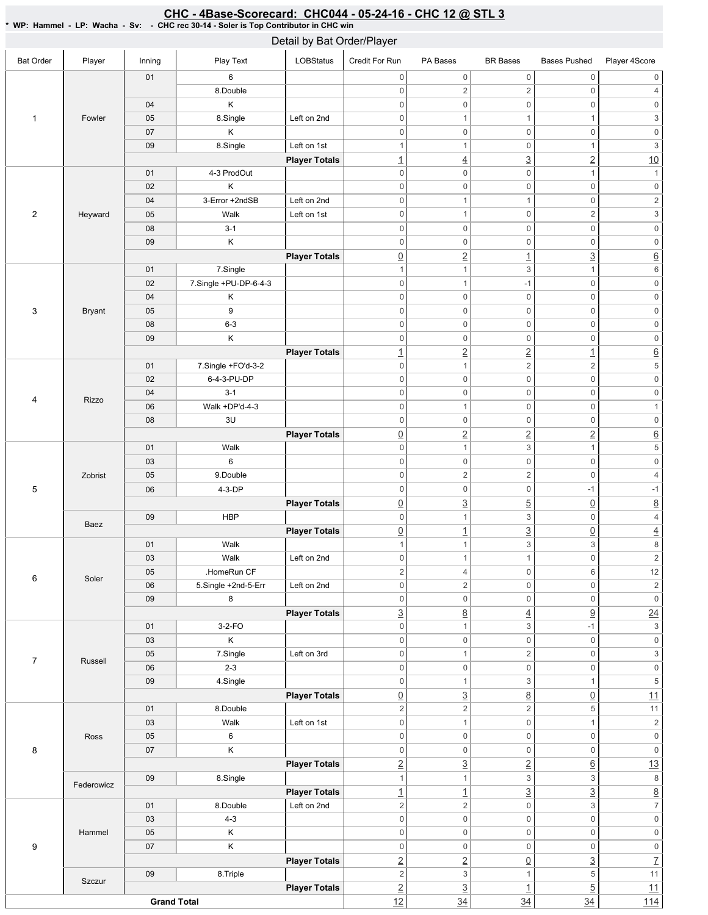#### Bat Order | Player | Inning | PlayText | LOBStatus Credit For Run PA Bases BR Bases Bases Pushed Player 4Score 1 Fowler 01 6 8.Double 04 K 05 8.Single Left on 2nd 07 K 09 | 8.Single | Left on 1st **Player Totals** 2 Heyward 01 4-3 ProdOut 02 K 04 | 3-Error +2ndSB | Left on 2nd 05 | Walk Left on 1st 08 3-1 09 K **Player Totals** 3 Bryant 01 | 7.Single 02 7.Single +PU-DP-6-4-3 04 K 05 9 08 6-3 09 K **Player Totals** 4 Rizzo 01 7.Single +FO'd-3-2 02 6-4-3-PU-DP 04 3-1 06 Walk +DP'd-4-3 08 3U **Player Totals** 5 Zobrist 01 | Walk 03 6 05 9.Double 06 4-3-DP **Player Totals** Baez 09 HBP **Player Totals** 6 Soler 01 Walk 03 Walk Left on 2nd 05 .HomeRun CF 06 | 5.Single +2nd-5-Err | Left on 2nd 09 8 **Player Totals** 7 Russell 01 3-2-FO 03 K 05 | 7.Single | Left on 3rd 06 2-3 09 | 4.Single **Player Totals** 8 Ross 01 8.Double 03 | Walk Left on 1st 05 6 07 K **Player Totals** Federowicz 09 | 8.Single **Player Totals** 9 Hammel 01 8.Double Left on 2nd 03 4-3 05 K 07 K **Player Totals** Szczur 09 8.Triple **Player Totals Grand Total** 0 0 0 0 0 0  $0 \qquad \qquad 2 \qquad \qquad 2 \qquad \qquad 0 \qquad \qquad 4$ 0 0 0 0 0 0 0 1 1 1  $1$  3 0 0 0 0 0 0 1 1 0 1 3 1  $\frac{1}{2}$   $\frac{3}{2}$   $\frac{2}{10}$  $0 \qquad 0 \qquad 0 \qquad 1 \qquad 1$ 0 0 0 0 0 0 0 1 1 0 2 0 1 0 2 3 0 0 0 0 0 0 0 0 0 0 0 0  $\boxed{0}$   $\boxed{2}$   $\boxed{1}$   $\boxed{3}$   $\boxed{6}$ 1  $1$  3 1 6 0 1 -1 0 0 0 0 0 0 0 0 0 0 0 0 0 0 0 0 0 0 0 0 0 0 0 0 0 0 1 2 2 1 6 0 1 2 2 5 0 0 0 0 0 0 0 0 0 0 0 0 0 0 1 0 1 0 0 0 0 0 0 0 2 2 2 6 0 1 3 1 5 0 0 0 0 0 0  $0 \qquad \qquad 2 \qquad \qquad 2 \qquad \qquad 0 \qquad \qquad 4$ 0 0 -1 -1  $\boxed{0}$   $\boxed{3}$   $\boxed{5}$   $\boxed{0}$   $\boxed{8}$ 0 1 3 0 4 0 1 3 0 4 1  $1$  3 3 8 0 1 1 0 2 2 4 0 6 12 0 0 2 0 2 0 0 0 0 0 0  $\frac{3}{2}$  8 4 9 24 0  $1$  3 -1 3 0 0 0 0 0 0 0 1 2 0 3 0 0 0 0 0 0 0 1 3 1 5 <u>0</u> 3 8 0 11 2 2 5 11 0 1 0 1 2 0 0 0 0 0 0 0 0 0 0 0 0 2  $\begin{array}{|c|c|c|c|c|c|}\n\hline\n2 & 3 & 2 & 6 & 13 \\
\hline\n\end{array}$ 1  $1$  3 3 8 1  $\begin{array}{ccc} 1 & 3 & 3 \end{array}$ 2 2 0 3  $7$ 0 0 0 0 0 0 0 0 0 0 0 0 0 0 0 0 0 0 2 2 0 3 7 2  $3$  1 5 11  $2$  3  $1$  5 1 <u>12</u> 34 34 34 34 114 Detail by Bat Order/Player

### CHC - 4Base-Scorecard: CHC044 - 05-24-16 - CHC 12 @ STL 3

\* WP: Hammel - LP: Wacha - Sv: - CHC rec 30-14 - Soler is Top Contributor in CHC win